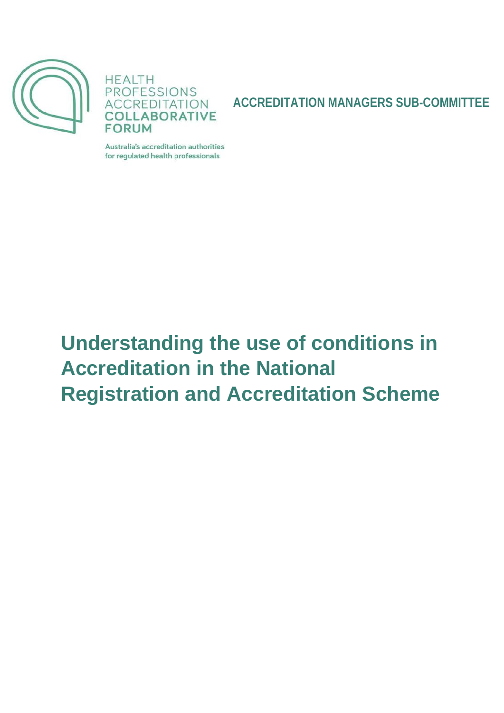



**ACCREDITATION MANAGERS SUB-COMMITTEE**

Australia's accreditation authorities for regulated health professionals

# **Understanding the use of conditions in Accreditation in the National Registration and Accreditation Scheme**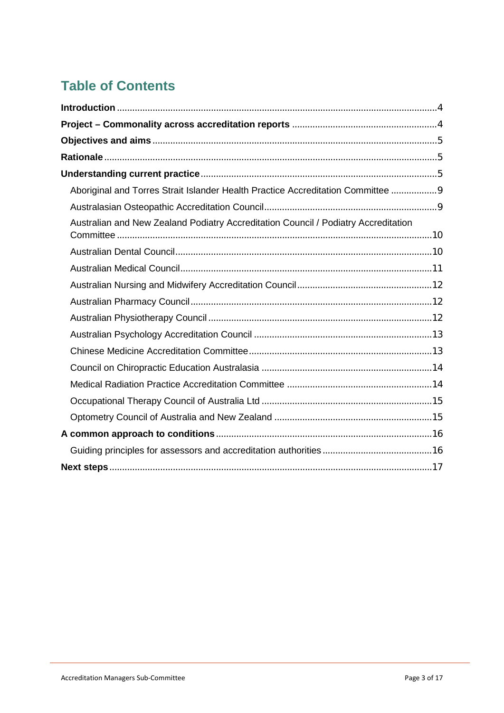## **Table of Contents**

| Aboriginal and Torres Strait Islander Health Practice Accreditation Committee 9    |  |
|------------------------------------------------------------------------------------|--|
|                                                                                    |  |
| Australian and New Zealand Podiatry Accreditation Council / Podiatry Accreditation |  |
|                                                                                    |  |
|                                                                                    |  |
|                                                                                    |  |
|                                                                                    |  |
|                                                                                    |  |
|                                                                                    |  |
|                                                                                    |  |
|                                                                                    |  |
|                                                                                    |  |
|                                                                                    |  |
|                                                                                    |  |
|                                                                                    |  |
|                                                                                    |  |
|                                                                                    |  |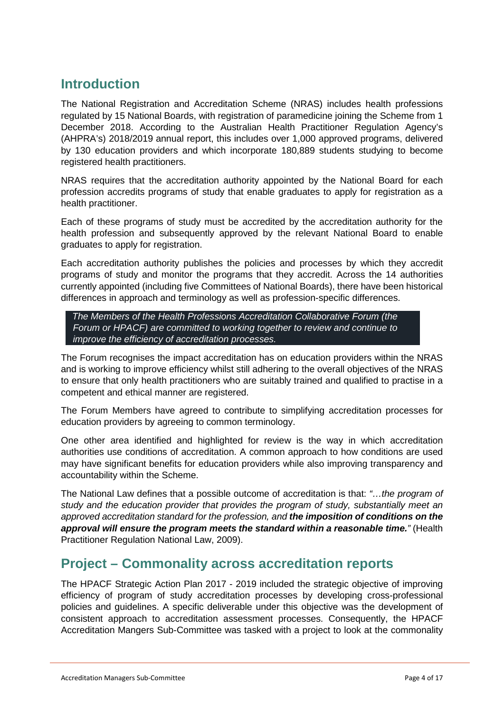## **Introduction**

The National Registration and Accreditation Scheme (NRAS) includes health professions regulated by 15 National Boards, with registration of paramedicine joining the Scheme from 1 December 2018. According to the Australian Health Practitioner Regulation Agency's (AHPRA's) 2018/2019 annual report, this includes over 1,000 approved programs, delivered by 130 education providers and which incorporate 180,889 students studying to become registered health practitioners.

NRAS requires that the accreditation authority appointed by the National Board for each profession accredits programs of study that enable graduates to apply for registration as a health practitioner.

Each of these programs of study must be accredited by the accreditation authority for the health profession and subsequently approved by the relevant National Board to enable graduates to apply for registration.

Each accreditation authority publishes the policies and processes by which they accredit programs of study and monitor the programs that they accredit. Across the 14 authorities currently appointed (including five Committees of National Boards), there have been historical differences in approach and terminology as well as profession-specific differences.

 *The Members of the Health Professions Accreditation Collaborative Forum (the Forum or HPACF) are committed to working together to review and continue to improve the efficiency of accreditation processes.* 

The Forum recognises the impact accreditation has on education providers within the NRAS and is working to improve efficiency whilst still adhering to the overall objectives of the NRAS to ensure that only health practitioners who are suitably trained and qualified to practise in a competent and ethical manner are registered.

The Forum Members have agreed to contribute to simplifying accreditation processes for education providers by agreeing to common terminology.

One other area identified and highlighted for review is the way in which accreditation authorities use conditions of accreditation. A common approach to how conditions are used may have significant benefits for education providers while also improving transparency and accountability within the Scheme.

The National Law defines that a possible outcome of accreditation is that: *"…the program of study and the education provider that provides the program of study, substantially meet an approved accreditation standard for the profession, and the imposition of conditions on the approval will ensure the program meets the standard within a reasonable time."* (Health Practitioner Regulation National Law, 2009).

## **Project – Commonality across accreditation reports**

The HPACF Strategic Action Plan 2017 - 2019 included the strategic objective of improving efficiency of program of study accreditation processes by developing cross-professional policies and guidelines. A specific deliverable under this objective was the development of consistent approach to accreditation assessment processes. Consequently, the HPACF Accreditation Mangers Sub-Committee was tasked with a project to look at the commonality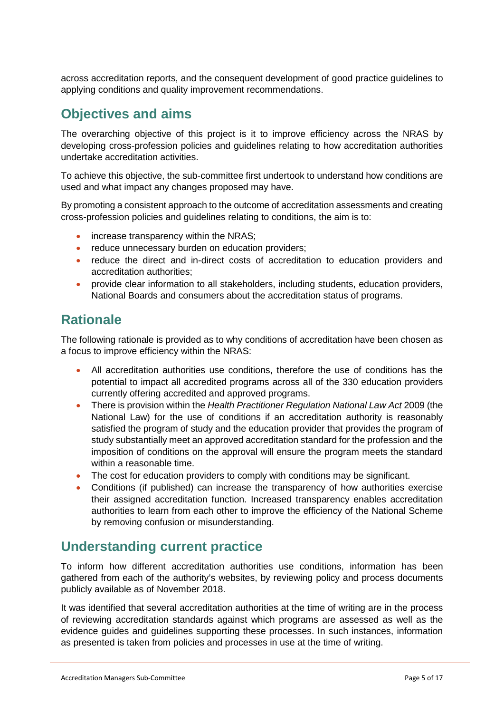across accreditation reports, and the consequent development of good practice guidelines to applying conditions and quality improvement recommendations.

## **Objectives and aims**

The overarching objective of this project is it to improve efficiency across the NRAS by developing cross-profession policies and guidelines relating to how accreditation authorities undertake accreditation activities.

To achieve this objective, the sub-committee first undertook to understand how conditions are used and what impact any changes proposed may have.

By promoting a consistent approach to the outcome of accreditation assessments and creating cross-profession policies and guidelines relating to conditions, the aim is to:

- increase transparency within the NRAS;
- reduce unnecessary burden on education providers;
- reduce the direct and in-direct costs of accreditation to education providers and accreditation authorities;
- provide clear information to all stakeholders, including students, education providers, National Boards and consumers about the accreditation status of programs.

## **Rationale**

The following rationale is provided as to why conditions of accreditation have been chosen as a focus to improve efficiency within the NRAS:

- All accreditation authorities use conditions, therefore the use of conditions has the potential to impact all accredited programs across all of the 330 education providers currently offering accredited and approved programs.
- There is provision within the *Health Practitioner Regulation National Law Act* 2009 (the National Law) for the use of conditions if an accreditation authority is reasonably satisfied the program of study and the education provider that provides the program of study substantially meet an approved accreditation standard for the profession and the imposition of conditions on the approval will ensure the program meets the standard within a reasonable time.
- The cost for education providers to comply with conditions may be significant.
- Conditions (if published) can increase the transparency of how authorities exercise their assigned accreditation function. Increased transparency enables accreditation authorities to learn from each other to improve the efficiency of the National Scheme by removing confusion or misunderstanding.

## **Understanding current practice**

To inform how different accreditation authorities use conditions, information has been gathered from each of the authority's websites, by reviewing policy and process documents publicly available as of November 2018.

It was identified that several accreditation authorities at the time of writing are in the process of reviewing accreditation standards against which programs are assessed as well as the evidence guides and guidelines supporting these processes. In such instances, information as presented is taken from policies and processes in use at the time of writing.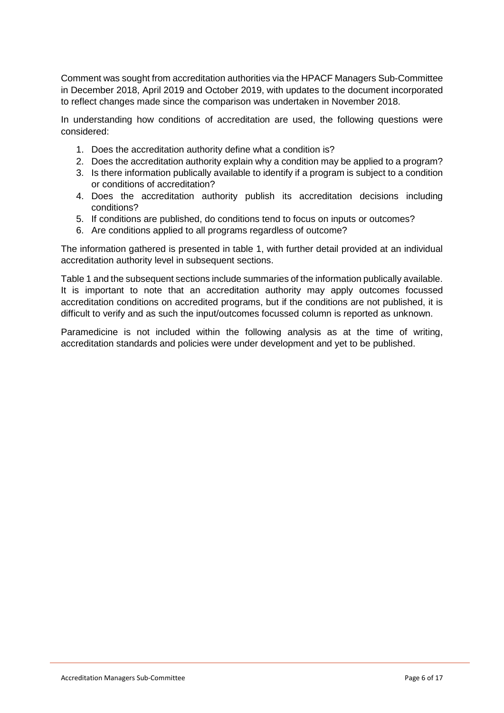Comment was sought from accreditation authorities via the HPACF Managers Sub-Committee in December 2018, April 2019 and October 2019, with updates to the document incorporated to reflect changes made since the comparison was undertaken in November 2018.

In understanding how conditions of accreditation are used, the following questions were considered:

- 1. Does the accreditation authority define what a condition is?
- 2. Does the accreditation authority explain why a condition may be applied to a program?
- 3. Is there information publically available to identify if a program is subject to a condition or conditions of accreditation?
- 4. Does the accreditation authority publish its accreditation decisions including conditions?
- 5. If conditions are published, do conditions tend to focus on inputs or outcomes?
- 6. Are conditions applied to all programs regardless of outcome?

The information gathered is presented in table 1, with further detail provided at an individual accreditation authority level in subsequent sections.

Table 1 and the subsequent sections include summaries of the information publically available. It is important to note that an accreditation authority may apply outcomes focussed accreditation conditions on accredited programs, but if the conditions are not published, it is difficult to verify and as such the input/outcomes focussed column is reported as unknown.

Paramedicine is not included within the following analysis as at the time of writing, accreditation standards and policies were under development and yet to be published.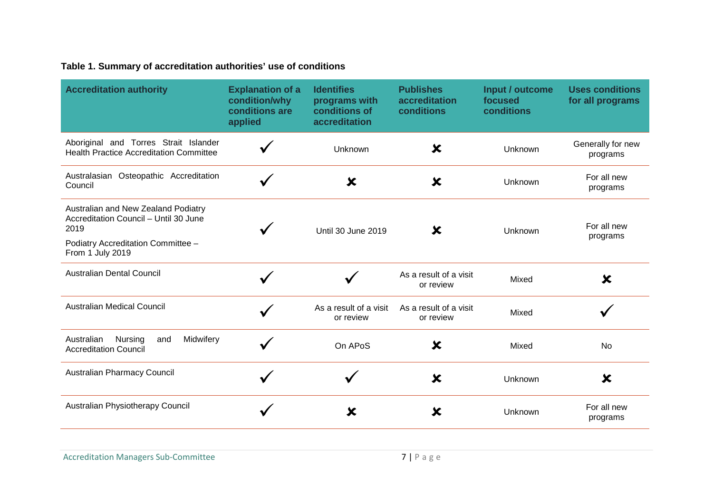#### **Table 1. Summary of accreditation authorities' use of conditions**

| <b>Accreditation authority</b>                                                                                                                 | <b>Explanation of a</b><br>condition/why<br>conditions are<br>applied | <b>Identifies</b><br>programs with<br>conditions of<br>accreditation | <b>Publishes</b><br>accreditation<br>conditions | Input / outcome<br>focused<br>conditions | <b>Uses conditions</b><br>for all programs |
|------------------------------------------------------------------------------------------------------------------------------------------------|-----------------------------------------------------------------------|----------------------------------------------------------------------|-------------------------------------------------|------------------------------------------|--------------------------------------------|
| Aboriginal and Torres Strait Islander<br><b>Health Practice Accreditation Committee</b>                                                        |                                                                       | Unknown                                                              | $\boldsymbol{\mathsf{x}}$                       | Unknown                                  | Generally for new<br>programs              |
| Australasian Osteopathic Accreditation<br>Council                                                                                              |                                                                       | $\boldsymbol{\mathsf{x}}$                                            | ×                                               | Unknown                                  | For all new<br>programs                    |
| Australian and New Zealand Podiatry<br>Accreditation Council - Until 30 June<br>2019<br>Podiatry Accreditation Committee -<br>From 1 July 2019 |                                                                       | Until 30 June 2019                                                   | X                                               | Unknown                                  | For all new<br>programs                    |
| <b>Australian Dental Council</b>                                                                                                               |                                                                       |                                                                      | As a result of a visit<br>or review             | Mixed                                    | X                                          |
| <b>Australian Medical Council</b>                                                                                                              |                                                                       | As a result of a visit<br>or review                                  | As a result of a visit<br>or review             | Mixed                                    |                                            |
| Midwifery<br>Australian<br>Nursing<br>and<br><b>Accreditation Council</b>                                                                      |                                                                       | On APoS                                                              | X                                               | Mixed                                    | No                                         |
| Australian Pharmacy Council                                                                                                                    |                                                                       |                                                                      | X                                               | Unknown                                  | X                                          |
| Australian Physiotherapy Council                                                                                                               |                                                                       | X                                                                    | ×                                               | Unknown                                  | For all new<br>programs                    |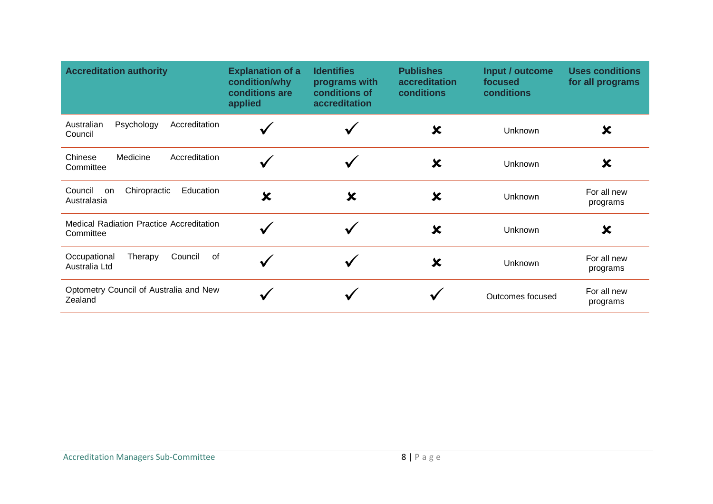| <b>Accreditation authority</b>                               | <b>Explanation of a</b><br>condition/why<br>conditions are<br>applied | <b>Identifies</b><br>programs with<br>conditions of<br>accreditation | <b>Publishes</b><br>accreditation<br>conditions | Input / outcome<br>focused<br>conditions | <b>Uses conditions</b><br>for all programs |
|--------------------------------------------------------------|-----------------------------------------------------------------------|----------------------------------------------------------------------|-------------------------------------------------|------------------------------------------|--------------------------------------------|
| Australian<br>Psychology<br>Accreditation<br>Council         |                                                                       |                                                                      | X                                               | Unknown                                  | X                                          |
| Medicine<br>Accreditation<br>Chinese<br>Committee            |                                                                       |                                                                      | X                                               | Unknown                                  | X                                          |
| Chiropractic<br>Council<br>Education<br>on<br>Australasia    | X                                                                     | $\boldsymbol{\mathsf{x}}$                                            | X                                               | Unknown                                  | For all new<br>programs                    |
| <b>Medical Radiation Practice Accreditation</b><br>Committee |                                                                       | √                                                                    | $\boldsymbol{\mathsf{x}}$                       | Unknown                                  | X                                          |
| Council<br>of<br>Occupational<br>Therapy<br>Australia Ltd    |                                                                       |                                                                      | $\boldsymbol{\mathsf{x}}$                       | Unknown                                  | For all new<br>programs                    |
| Optometry Council of Australia and New<br>Zealand            |                                                                       |                                                                      |                                                 | Outcomes focused                         | For all new<br>programs                    |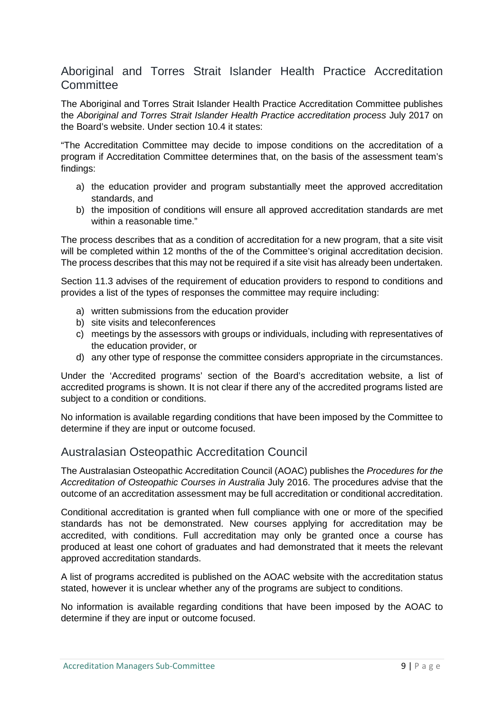#### Aboriginal and Torres Strait Islander Health Practice Accreditation **Committee**

The Aboriginal and Torres Strait Islander Health Practice Accreditation Committee publishes the *Aboriginal and Torres Strait Islander Health Practice accreditation process* July 2017 on the Board's website. Under section 10.4 it states:

"The Accreditation Committee may decide to impose conditions on the accreditation of a program if Accreditation Committee determines that, on the basis of the assessment team's findings:

- a) the education provider and program substantially meet the approved accreditation standards, and
- b) the imposition of conditions will ensure all approved accreditation standards are met within a reasonable time."

The process describes that as a condition of accreditation for a new program, that a site visit will be completed within 12 months of the of the Committee's original accreditation decision. The process describes that this may not be required if a site visit has already been undertaken.

Section 11.3 advises of the requirement of education providers to respond to conditions and provides a list of the types of responses the committee may require including:

- a) written submissions from the education provider
- b) site visits and teleconferences
- c) meetings by the assessors with groups or individuals, including with representatives of the education provider, or
- d) any other type of response the committee considers appropriate in the circumstances.

Under the 'Accredited programs' section of the Board's accreditation website, a list of accredited programs is shown. It is not clear if there any of the accredited programs listed are subject to a condition or conditions.

No information is available regarding conditions that have been imposed by the Committee to determine if they are input or outcome focused.

#### Australasian Osteopathic Accreditation Council

The Australasian Osteopathic Accreditation Council (AOAC) publishes the *Procedures for the Accreditation of Osteopathic Courses in Australia* July 2016. The procedures advise that the outcome of an accreditation assessment may be full accreditation or conditional accreditation.

Conditional accreditation is granted when full compliance with one or more of the specified standards has not be demonstrated. New courses applying for accreditation may be accredited, with conditions. Full accreditation may only be granted once a course has produced at least one cohort of graduates and had demonstrated that it meets the relevant approved accreditation standards.

A list of programs accredited is published on the AOAC website with the accreditation status stated, however it is unclear whether any of the programs are subject to conditions.

No information is available regarding conditions that have been imposed by the AOAC to determine if they are input or outcome focused.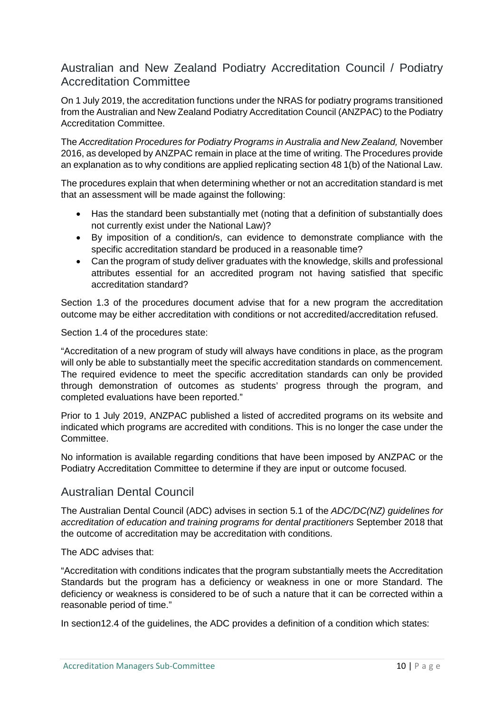#### Australian and New Zealand Podiatry Accreditation Council / Podiatry Accreditation Committee

On 1 July 2019, the accreditation functions under the NRAS for podiatry programs transitioned from the Australian and New Zealand Podiatry Accreditation Council (ANZPAC) to the Podiatry Accreditation Committee.

The *Accreditation Procedures for Podiatry Programs in Australia and New Zealand,* November 2016, as developed by ANZPAC remain in place at the time of writing. The Procedures provide an explanation as to why conditions are applied replicating section 48 1(b) of the National Law.

The procedures explain that when determining whether or not an accreditation standard is met that an assessment will be made against the following:

- Has the standard been substantially met (noting that a definition of substantially does not currently exist under the National Law)?
- By imposition of a condition/s, can evidence to demonstrate compliance with the specific accreditation standard be produced in a reasonable time?
- Can the program of study deliver graduates with the knowledge, skills and professional attributes essential for an accredited program not having satisfied that specific accreditation standard?

Section 1.3 of the procedures document advise that for a new program the accreditation outcome may be either accreditation with conditions or not accredited/accreditation refused.

Section 1.4 of the procedures state:

"Accreditation of a new program of study will always have conditions in place, as the program will only be able to substantially meet the specific accreditation standards on commencement. The required evidence to meet the specific accreditation standards can only be provided through demonstration of outcomes as students' progress through the program, and completed evaluations have been reported."

Prior to 1 July 2019, ANZPAC published a listed of accredited programs on its website and indicated which programs are accredited with conditions. This is no longer the case under the Committee.

No information is available regarding conditions that have been imposed by ANZPAC or the Podiatry Accreditation Committee to determine if they are input or outcome focused.

#### Australian Dental Council

The Australian Dental Council (ADC) advises in section 5.1 of the *ADC/DC(NZ) guidelines for accreditation of education and training programs for dental practitioners* September 2018 that the outcome of accreditation may be accreditation with conditions.

#### The ADC advises that:

"Accreditation with conditions indicates that the program substantially meets the Accreditation Standards but the program has a deficiency or weakness in one or more Standard. The deficiency or weakness is considered to be of such a nature that it can be corrected within a reasonable period of time."

In section12.4 of the guidelines, the ADC provides a definition of a condition which states: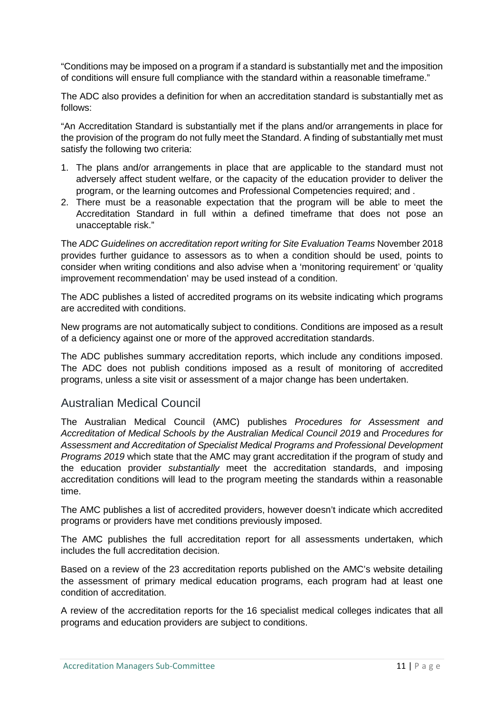"Conditions may be imposed on a program if a standard is substantially met and the imposition of conditions will ensure full compliance with the standard within a reasonable timeframe."

The ADC also provides a definition for when an accreditation standard is substantially met as follows:

"An Accreditation Standard is substantially met if the plans and/or arrangements in place for the provision of the program do not fully meet the Standard. A finding of substantially met must satisfy the following two criteria:

- 1. The plans and/or arrangements in place that are applicable to the standard must not adversely affect student welfare, or the capacity of the education provider to deliver the program, or the learning outcomes and Professional Competencies required; and .
- 2. There must be a reasonable expectation that the program will be able to meet the Accreditation Standard in full within a defined timeframe that does not pose an unacceptable risk."

The *ADC Guidelines on accreditation report writing for Site Evaluation Teams* November 2018 provides further guidance to assessors as to when a condition should be used, points to consider when writing conditions and also advise when a 'monitoring requirement' or 'quality improvement recommendation' may be used instead of a condition.

The ADC publishes a listed of accredited programs on its website indicating which programs are accredited with conditions.

New programs are not automatically subject to conditions. Conditions are imposed as a result of a deficiency against one or more of the approved accreditation standards.

The ADC publishes summary accreditation reports, which include any conditions imposed. The ADC does not publish conditions imposed as a result of monitoring of accredited programs, unless a site visit or assessment of a major change has been undertaken.

#### Australian Medical Council

The Australian Medical Council (AMC) publishes *Procedures for Assessment and Accreditation of Medical Schools by the Australian Medical Council 2019* and *Procedures for Assessment and Accreditation of Specialist Medical Programs and Professional Development Programs 2019* which state that the AMC may grant accreditation if the program of study and the education provider *substantially* meet the accreditation standards, and imposing accreditation conditions will lead to the program meeting the standards within a reasonable time.

The AMC publishes a list of accredited providers, however doesn't indicate which accredited programs or providers have met conditions previously imposed.

The AMC publishes the full accreditation report for all assessments undertaken, which includes the full accreditation decision.

Based on a review of the 23 accreditation reports published on the AMC's website detailing the assessment of primary medical education programs, each program had at least one condition of accreditation.

A review of the accreditation reports for the 16 specialist medical colleges indicates that all programs and education providers are subject to conditions.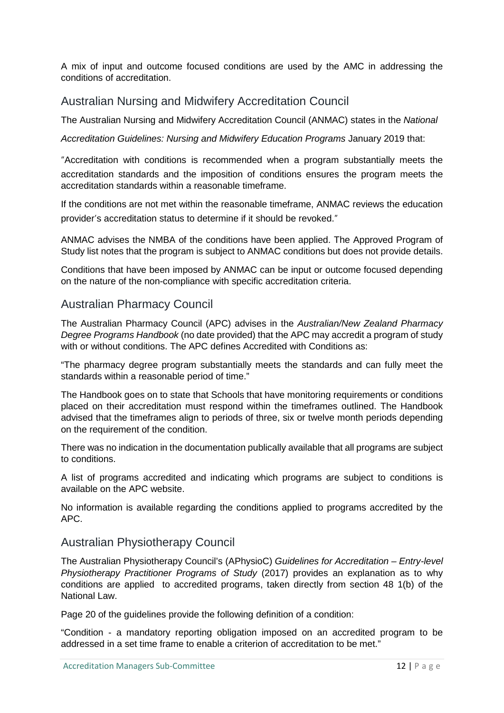A mix of input and outcome focused conditions are used by the AMC in addressing the conditions of accreditation.

#### Australian Nursing and Midwifery Accreditation Council

The Australian Nursing and Midwifery Accreditation Council (ANMAC) states in the *National*

*Accreditation Guidelines: Nursing and Midwifery Education Programs* January 2019 that:

"Accreditation with conditions is recommended when a program substantially meets the accreditation standards and the imposition of conditions ensures the program meets the accreditation standards within a reasonable timeframe.

If the conditions are not met within the reasonable timeframe, ANMAC reviews the education provider's accreditation status to determine if it should be revoked."

ANMAC advises the NMBA of the conditions have been applied. The Approved Program of Study list notes that the program is subject to ANMAC conditions but does not provide details.

Conditions that have been imposed by ANMAC can be input or outcome focused depending on the nature of the non-compliance with specific accreditation criteria.

#### Australian Pharmacy Council

The Australian Pharmacy Council (APC) advises in the *Australian/New Zealand Pharmacy Degree Programs Handbook* (no date provided) that the APC may accredit a program of study with or without conditions. The APC defines Accredited with Conditions as:

"The pharmacy degree program substantially meets the standards and can fully meet the standards within a reasonable period of time."

The Handbook goes on to state that Schools that have monitoring requirements or conditions placed on their accreditation must respond within the timeframes outlined. The Handbook advised that the timeframes align to periods of three, six or twelve month periods depending on the requirement of the condition.

There was no indication in the documentation publically available that all programs are subject to conditions.

A list of programs accredited and indicating which programs are subject to conditions is available on the APC website.

No information is available regarding the conditions applied to programs accredited by the APC.

#### Australian Physiotherapy Council

The Australian Physiotherapy Council's (APhysioC) *Guidelines for Accreditation – Entry-level Physiotherapy Practitioner Programs of Study* (2017) provides an explanation as to why conditions are applied to accredited programs, taken directly from section 48 1(b) of the National Law.

Page 20 of the guidelines provide the following definition of a condition:

"Condition - a mandatory reporting obligation imposed on an accredited program to be addressed in a set time frame to enable a criterion of accreditation to be met."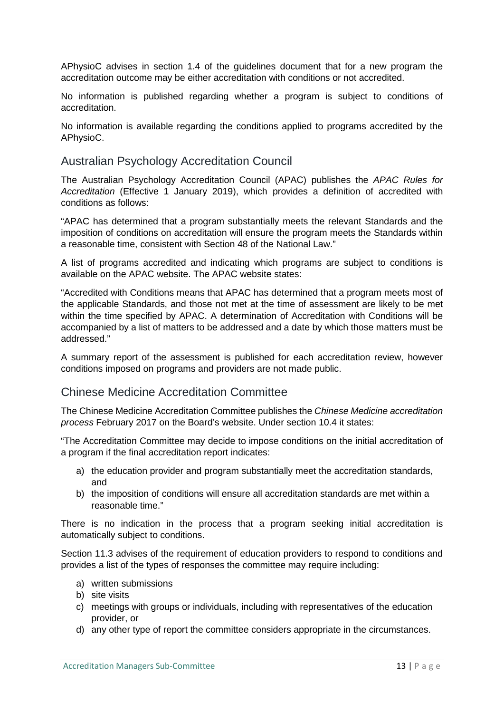APhysioC advises in section 1.4 of the guidelines document that for a new program the accreditation outcome may be either accreditation with conditions or not accredited.

No information is published regarding whether a program is subject to conditions of accreditation.

No information is available regarding the conditions applied to programs accredited by the APhysioC.

#### Australian Psychology Accreditation Council

The Australian Psychology Accreditation Council (APAC) publishes the *APAC Rules for Accreditation* (Effective 1 January 2019), which provides a definition of accredited with conditions as follows:

"APAC has determined that a program substantially meets the relevant Standards and the imposition of conditions on accreditation will ensure the program meets the Standards within a reasonable time, consistent with Section 48 of the National Law."

A list of programs accredited and indicating which programs are subject to conditions is available on the APAC website. The APAC website states:

"Accredited with Conditions means that APAC has determined that a program meets most of the applicable Standards, and those not met at the time of assessment are likely to be met within the time specified by APAC. A determination of Accreditation with Conditions will be accompanied by a list of matters to be addressed and a date by which those matters must be addressed."

A summary report of the assessment is published for each accreditation review, however conditions imposed on programs and providers are not made public.

#### Chinese Medicine Accreditation Committee

The Chinese Medicine Accreditation Committee publishes the *Chinese Medicine accreditation process* February 2017 on the Board's website. Under section 10.4 it states:

"The Accreditation Committee may decide to impose conditions on the initial accreditation of a program if the final accreditation report indicates:

- a) the education provider and program substantially meet the accreditation standards, and
- b) the imposition of conditions will ensure all accreditation standards are met within a reasonable time."

There is no indication in the process that a program seeking initial accreditation is automatically subject to conditions.

Section 11.3 advises of the requirement of education providers to respond to conditions and provides a list of the types of responses the committee may require including:

- a) written submissions
- b) site visits
- c) meetings with groups or individuals, including with representatives of the education provider, or
- d) any other type of report the committee considers appropriate in the circumstances.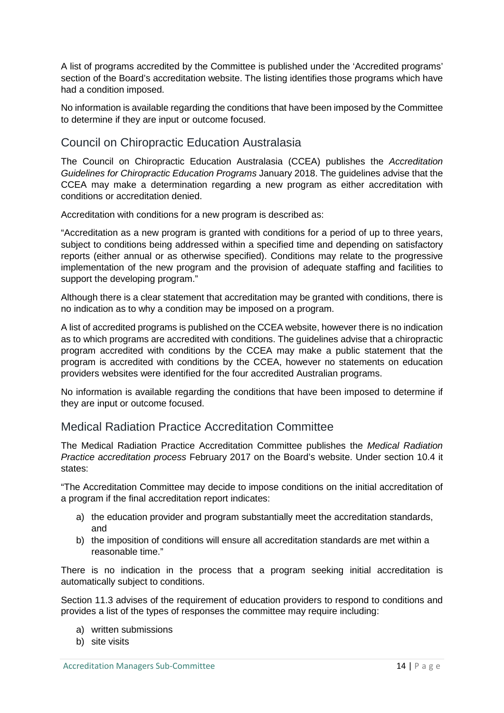A list of programs accredited by the Committee is published under the 'Accredited programs' section of the Board's accreditation website. The listing identifies those programs which have had a condition imposed.

No information is available regarding the conditions that have been imposed by the Committee to determine if they are input or outcome focused.

#### Council on Chiropractic Education Australasia

The Council on Chiropractic Education Australasia (CCEA) publishes the *Accreditation Guidelines for Chiropractic Education Programs* January 2018. The guidelines advise that the CCEA may make a determination regarding a new program as either accreditation with conditions or accreditation denied.

Accreditation with conditions for a new program is described as:

"Accreditation as a new program is granted with conditions for a period of up to three years, subject to conditions being addressed within a specified time and depending on satisfactory reports (either annual or as otherwise specified). Conditions may relate to the progressive implementation of the new program and the provision of adequate staffing and facilities to support the developing program."

Although there is a clear statement that accreditation may be granted with conditions, there is no indication as to why a condition may be imposed on a program.

A list of accredited programs is published on the CCEA website, however there is no indication as to which programs are accredited with conditions. The guidelines advise that a chiropractic program accredited with conditions by the CCEA may make a public statement that the program is accredited with conditions by the CCEA, however no statements on education providers websites were identified for the four accredited Australian programs.

No information is available regarding the conditions that have been imposed to determine if they are input or outcome focused.

#### Medical Radiation Practice Accreditation Committee

The Medical Radiation Practice Accreditation Committee publishes the *Medical Radiation Practice accreditation process* February 2017 on the Board's website. Under section 10.4 it states:

"The Accreditation Committee may decide to impose conditions on the initial accreditation of a program if the final accreditation report indicates:

- a) the education provider and program substantially meet the accreditation standards, and
- b) the imposition of conditions will ensure all accreditation standards are met within a reasonable time."

There is no indication in the process that a program seeking initial accreditation is automatically subject to conditions.

Section 11.3 advises of the requirement of education providers to respond to conditions and provides a list of the types of responses the committee may require including:

- a) written submissions
- b) site visits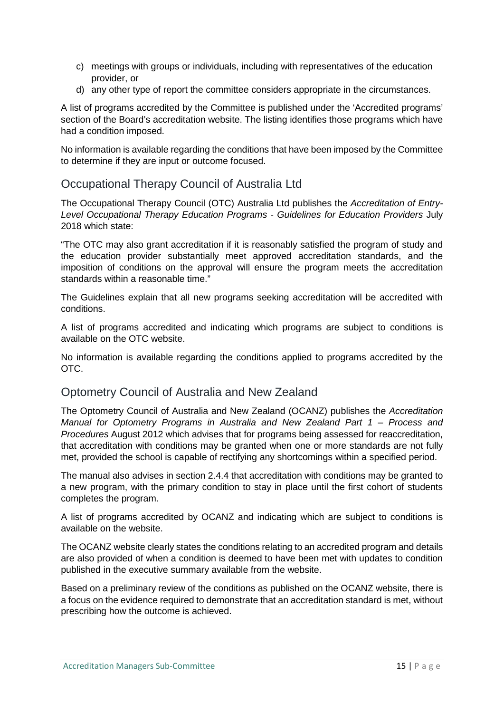- c) meetings with groups or individuals, including with representatives of the education provider, or
- d) any other type of report the committee considers appropriate in the circumstances.

A list of programs accredited by the Committee is published under the 'Accredited programs' section of the Board's accreditation website. The listing identifies those programs which have had a condition imposed.

No information is available regarding the conditions that have been imposed by the Committee to determine if they are input or outcome focused.

#### Occupational Therapy Council of Australia Ltd

The Occupational Therapy Council (OTC) Australia Ltd publishes the *Accreditation of Entry-Level Occupational Therapy Education Programs - Guidelines for Education Providers* July 2018 which state:

"The OTC may also grant accreditation if it is reasonably satisfied the program of study and the education provider substantially meet approved accreditation standards, and the imposition of conditions on the approval will ensure the program meets the accreditation standards within a reasonable time."

The Guidelines explain that all new programs seeking accreditation will be accredited with conditions.

A list of programs accredited and indicating which programs are subject to conditions is available on the OTC website.

No information is available regarding the conditions applied to programs accredited by the OTC.

#### Optometry Council of Australia and New Zealand

The Optometry Council of Australia and New Zealand (OCANZ) publishes the *Accreditation Manual for Optometry Programs in Australia and New Zealand Part 1 – Process and Procedures* August 2012 which advises that for programs being assessed for reaccreditation, that accreditation with conditions may be granted when one or more standards are not fully met, provided the school is capable of rectifying any shortcomings within a specified period.

The manual also advises in section 2.4.4 that accreditation with conditions may be granted to a new program, with the primary condition to stay in place until the first cohort of students completes the program.

A list of programs accredited by OCANZ and indicating which are subject to conditions is available on the website.

The OCANZ website clearly states the conditions relating to an accredited program and details are also provided of when a condition is deemed to have been met with updates to condition published in the executive summary available from the website.

Based on a preliminary review of the conditions as published on the OCANZ website, there is a focus on the evidence required to demonstrate that an accreditation standard is met, without prescribing how the outcome is achieved.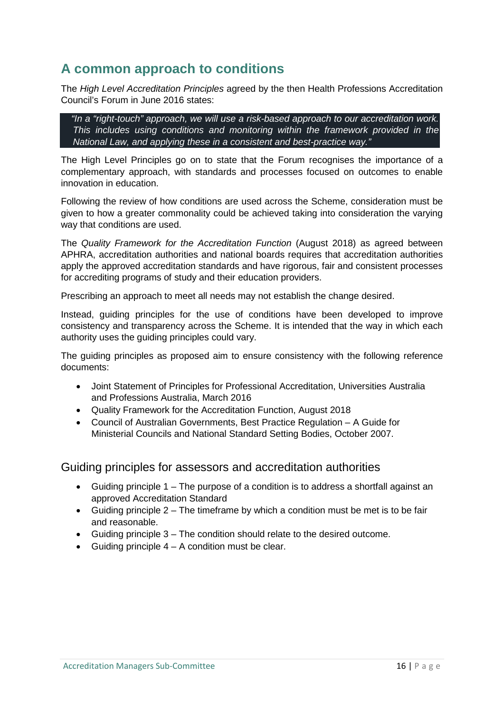## **A common approach to conditions**

The *High Level Accreditation Principles* agreed by the then Health Professions Accreditation Council's Forum in June 2016 states:

 *"In a "right-touch" approach, we will use a risk-based approach to our accreditation work. This includes using conditions and monitoring within the framework provided in the National Law, and applying these in a consistent and best-practice way."*

The High Level Principles go on to state that the Forum recognises the importance of a complementary approach, with standards and processes focused on outcomes to enable innovation in education.

Following the review of how conditions are used across the Scheme, consideration must be given to how a greater commonality could be achieved taking into consideration the varying way that conditions are used.

The *Quality Framework for the Accreditation Function* (August 2018) as agreed between APHRA, accreditation authorities and national boards requires that accreditation authorities apply the approved accreditation standards and have rigorous, fair and consistent processes for accrediting programs of study and their education providers.

Prescribing an approach to meet all needs may not establish the change desired.

Instead, guiding principles for the use of conditions have been developed to improve consistency and transparency across the Scheme. It is intended that the way in which each authority uses the guiding principles could vary.

The guiding principles as proposed aim to ensure consistency with the following reference documents:

- Joint Statement of Principles for Professional Accreditation, Universities Australia and Professions Australia, March 2016
- Quality Framework for the Accreditation Function, August 2018
- Council of Australian Governments, Best Practice Regulation A Guide for Ministerial Councils and National Standard Setting Bodies, October 2007.

Guiding principles for assessors and accreditation authorities

- Guiding principle 1 The purpose of a condition is to address a shortfall against an approved Accreditation Standard
- Guiding principle  $2 -$  The time frame by which a condition must be met is to be fair and reasonable.
- Guiding principle 3 The condition should relate to the desired outcome.
- Guiding principle  $4 A$  condition must be clear.